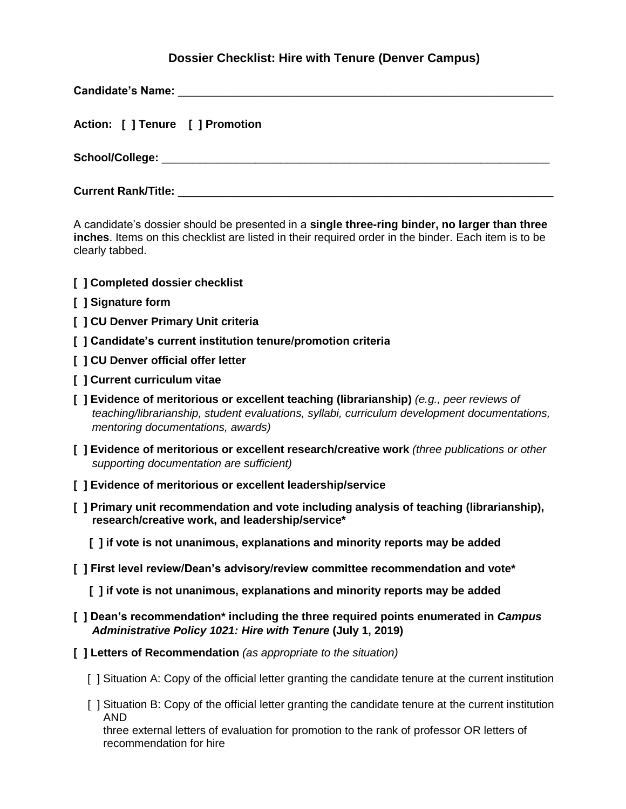## **Dossier Checklist: Hire with Tenure (Denver Campus)**

**Candidate's Name:** \_\_\_\_\_\_\_\_\_\_\_\_\_\_\_\_\_\_\_\_\_\_\_\_\_\_\_\_\_\_\_\_\_\_\_\_\_\_\_\_\_\_\_\_\_\_\_\_\_\_\_\_\_\_\_\_\_\_\_\_ **Action: [ ] Tenure [ ] Promotion**  $School/College:$ **Current Rank/Title:** \_\_\_\_\_\_\_\_\_\_\_\_\_\_\_\_\_\_\_\_\_\_\_\_\_\_\_\_\_\_\_\_\_\_\_\_\_\_\_\_\_\_\_\_\_\_\_\_\_\_\_\_\_\_\_\_\_\_\_\_

A candidate's dossier should be presented in a **single three-ring binder, no larger than three inches**. Items on this checklist are listed in their required order in the binder. Each item is to be clearly tabbed.

- **[ ] Completed dossier checklist**
- **[ ] Signature form**
- **[ ] CU Denver Primary Unit criteria**
- **[ ] Candidate's current institution tenure/promotion criteria**
- **[ ] CU Denver official offer letter**
- **[ ] Current curriculum vitae**
- **[ ] Evidence of meritorious or excellent teaching (librarianship)** *(e.g., peer reviews of teaching/librarianship, student evaluations, syllabi, curriculum development documentations, mentoring documentations, awards)*
- **[ ] Evidence of meritorious or excellent research/creative work** *(three publications or other supporting documentation are sufficient)*
- **[ ] Evidence of meritorious or excellent leadership/service**
- **[ ] Primary unit recommendation and vote including analysis of teaching (librarianship), research/creative work, and leadership/service\***
	- **[ ] if vote is not unanimous, explanations and minority reports may be added**
- **[ ] First level review/Dean's advisory/review committee recommendation and vote\***
	- **[ ] if vote is not unanimous, explanations and minority reports may be added**
- **[ ] Dean's recommendation\* including the three required points enumerated in** *Campus Administrative Policy 1021: Hire with Tenure* **(July 1, 2019)**
- **[ ] Letters of Recommendation** *(as appropriate to the situation)*
	- [ ] Situation A: Copy of the official letter granting the candidate tenure at the current institution
	- [ ] Situation B: Copy of the official letter granting the candidate tenure at the current institution AND

 three external letters of evaluation for promotion to the rank of professor OR letters of recommendation for hire